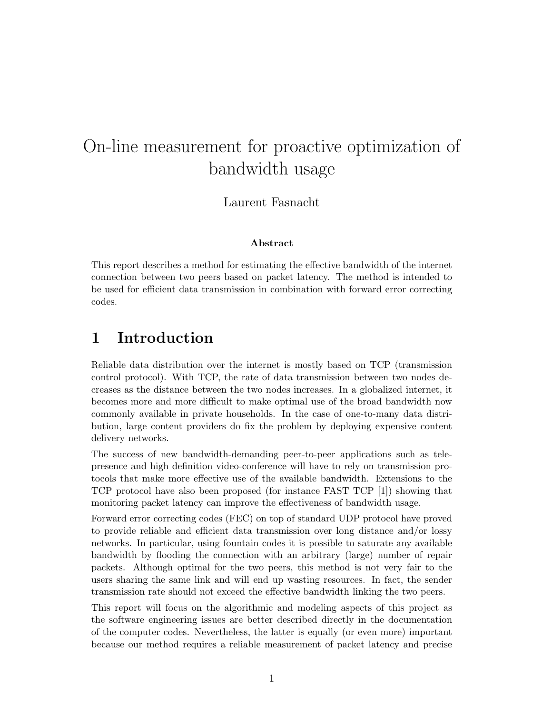# On-line measurement for proactive optimization of bandwidth usage

Laurent Fasnacht

#### Abstract

This report describes a method for estimating the effective bandwidth of the internet connection between two peers based on packet latency. The method is intended to be used for efficient data transmission in combination with forward error correcting codes.

## 1 Introduction

Reliable data distribution over the internet is mostly based on TCP (transmission control protocol). With TCP, the rate of data transmission between two nodes decreases as the distance between the two nodes increases. In a globalized internet, it becomes more and more difficult to make optimal use of the broad bandwidth now commonly available in private households. In the case of one-to-many data distribution, large content providers do fix the problem by deploying expensive content delivery networks.

The success of new bandwidth-demanding peer-to-peer applications such as telepresence and high definition video-conference will have to rely on transmission protocols that make more effective use of the available bandwidth. Extensions to the TCP protocol have also been proposed (for instance FAST TCP [1]) showing that monitoring packet latency can improve the effectiveness of bandwidth usage.

Forward error correcting codes (FEC) on top of standard UDP protocol have proved to provide reliable and efficient data transmission over long distance and/or lossy networks. In particular, using fountain codes it is possible to saturate any available bandwidth by flooding the connection with an arbitrary (large) number of repair packets. Although optimal for the two peers, this method is not very fair to the users sharing the same link and will end up wasting resources. In fact, the sender transmission rate should not exceed the effective bandwidth linking the two peers.

This report will focus on the algorithmic and modeling aspects of this project as the software engineering issues are better described directly in the documentation of the computer codes. Nevertheless, the latter is equally (or even more) important because our method requires a reliable measurement of packet latency and precise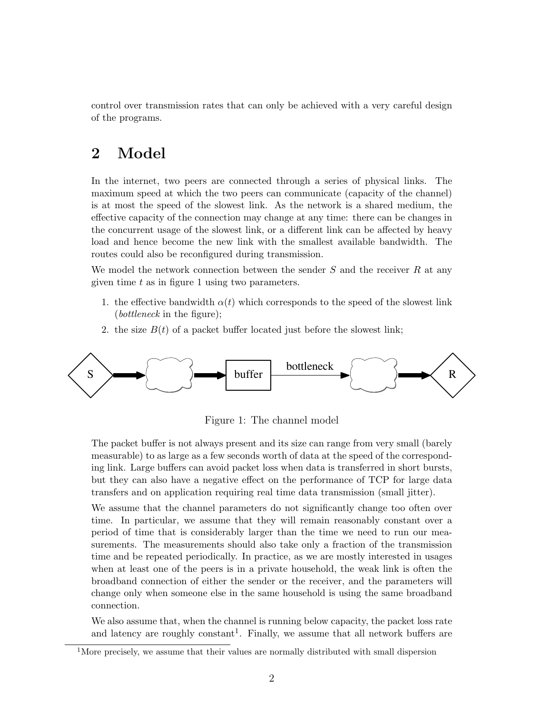control over transmission rates that can only be achieved with a very careful design of the programs.

## 2 Model

In the internet, two peers are connected through a series of physical links. The maximum speed at which the two peers can communicate (capacity of the channel) is at most the speed of the slowest link. As the network is a shared medium, the effective capacity of the connection may change at any time: there can be changes in the concurrent usage of the slowest link, or a different link can be affected by heavy load and hence become the new link with the smallest available bandwidth. The routes could also be reconfigured during transmission.

We model the network connection between the sender  $S$  and the receiver  $R$  at any given time  $t$  as in figure 1 using two parameters.

- 1. the effective bandwidth  $\alpha(t)$  which corresponds to the speed of the slowest link (bottleneck in the figure);
- 2. the size  $B(t)$  of a packet buffer located just before the slowest link;



Figure 1: The channel model

The packet buffer is not always present and its size can range from very small (barely measurable) to as large as a few seconds worth of data at the speed of the corresponding link. Large buffers can avoid packet loss when data is transferred in short bursts, but they can also have a negative effect on the performance of TCP for large data transfers and on application requiring real time data transmission (small jitter).

We assume that the channel parameters do not significantly change too often over time. In particular, we assume that they will remain reasonably constant over a period of time that is considerably larger than the time we need to run our measurements. The measurements should also take only a fraction of the transmission time and be repeated periodically. In practice, as we are mostly interested in usages when at least one of the peers is in a private household, the weak link is often the broadband connection of either the sender or the receiver, and the parameters will change only when someone else in the same household is using the same broadband connection.

We also assume that, when the channel is running below capacity, the packet loss rate and latency are roughly constant<sup>1</sup>. Finally, we assume that all network buffers are

<sup>&</sup>lt;sup>1</sup>More precisely, we assume that their values are normally distributed with small dispersion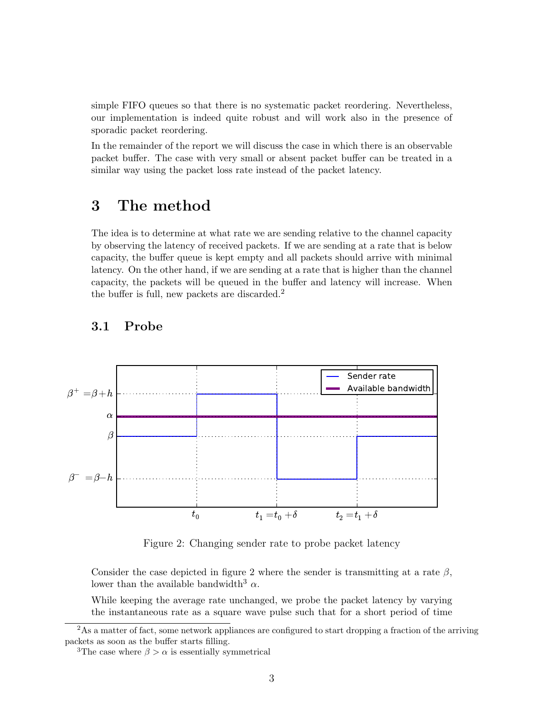simple FIFO queues so that there is no systematic packet reordering. Nevertheless, our implementation is indeed quite robust and will work also in the presence of sporadic packet reordering.

In the remainder of the report we will discuss the case in which there is an observable packet buffer. The case with very small or absent packet buffer can be treated in a similar way using the packet loss rate instead of the packet latency.

## 3 The method

The idea is to determine at what rate we are sending relative to the channel capacity by observing the latency of received packets. If we are sending at a rate that is below capacity, the buffer queue is kept empty and all packets should arrive with minimal latency. On the other hand, if we are sending at a rate that is higher than the channel capacity, the packets will be queued in the buffer and latency will increase. When the buffer is full, new packets are discarded.<sup>2</sup>



### 3.1 Probe

Figure 2: Changing sender rate to probe packet latency

Consider the case depicted in figure 2 where the sender is transmitting at a rate  $\beta$ , lower than the available bandwidth<sup>3</sup>  $\alpha$ .

While keeping the average rate unchanged, we probe the packet latency by varying the instantaneous rate as a square wave pulse such that for a short period of time

<sup>&</sup>lt;sup>2</sup>As a matter of fact, some network appliances are configured to start dropping a fraction of the arriving packets as soon as the buffer starts filling.

<sup>&</sup>lt;sup>3</sup>The case where  $\beta > \alpha$  is essentially symmetrical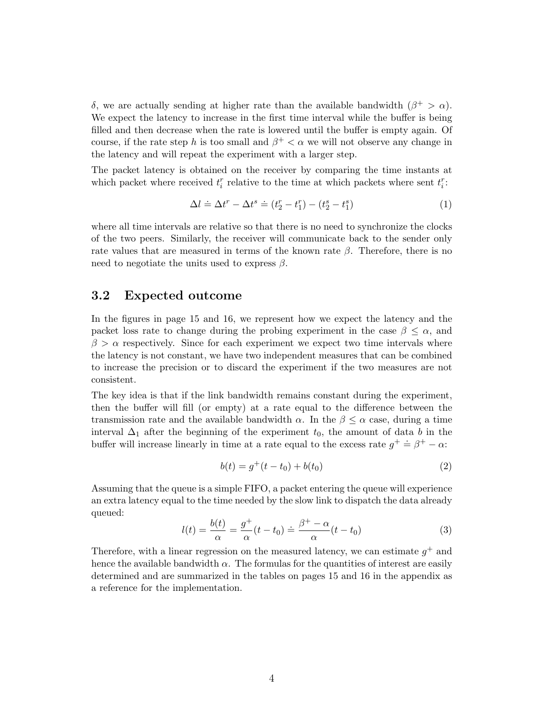δ, we are actually sending at higher rate than the available bandwidth  $(β<sup>+</sup> > α)$ . We expect the latency to increase in the first time interval while the buffer is being filled and then decrease when the rate is lowered until the buffer is empty again. Of course, if the rate step h is too small and  $\beta^+ < \alpha$  we will not observe any change in the latency and will repeat the experiment with a larger step.

The packet latency is obtained on the receiver by comparing the time instants at which packet where received  $t_i^r$  relative to the time at which packets where sent  $t_i^r$ :

$$
\Delta l \doteq \Delta t^r - \Delta t^s \doteq (t_2^r - t_1^r) - (t_2^s - t_1^s) \tag{1}
$$

where all time intervals are relative so that there is no need to synchronize the clocks of the two peers. Similarly, the receiver will communicate back to the sender only rate values that are measured in terms of the known rate  $\beta$ . Therefore, there is no need to negotiate the units used to express  $\beta$ .

### 3.2 Expected outcome

In the figures in page 15 and 16, we represent how we expect the latency and the packet loss rate to change during the probing experiment in the case  $\beta \leq \alpha$ , and  $\beta > \alpha$  respectively. Since for each experiment we expect two time intervals where the latency is not constant, we have two independent measures that can be combined to increase the precision or to discard the experiment if the two measures are not consistent.

The key idea is that if the link bandwidth remains constant during the experiment, then the buffer will fill (or empty) at a rate equal to the difference between the transmission rate and the available bandwidth  $\alpha$ . In the  $\beta \leq \alpha$  case, during a time interval  $\Delta_1$  after the beginning of the experiment  $t_0$ , the amount of data b in the buffer will increase linearly in time at a rate equal to the excess rate  $g^+ \doteq \beta^+ - \alpha$ :

$$
b(t) = g^+(t - t_0) + b(t_0)
$$
\n(2)

Assuming that the queue is a simple FIFO, a packet entering the queue will experience an extra latency equal to the time needed by the slow link to dispatch the data already queued:

$$
l(t) = \frac{b(t)}{\alpha} = \frac{g^+}{\alpha}(t - t_0) \doteq \frac{\beta^+ - \alpha}{\alpha}(t - t_0)
$$
\n(3)

Therefore, with a linear regression on the measured latency, we can estimate  $g^+$  and hence the available bandwidth  $\alpha$ . The formulas for the quantities of interest are easily determined and are summarized in the tables on pages 15 and 16 in the appendix as a reference for the implementation.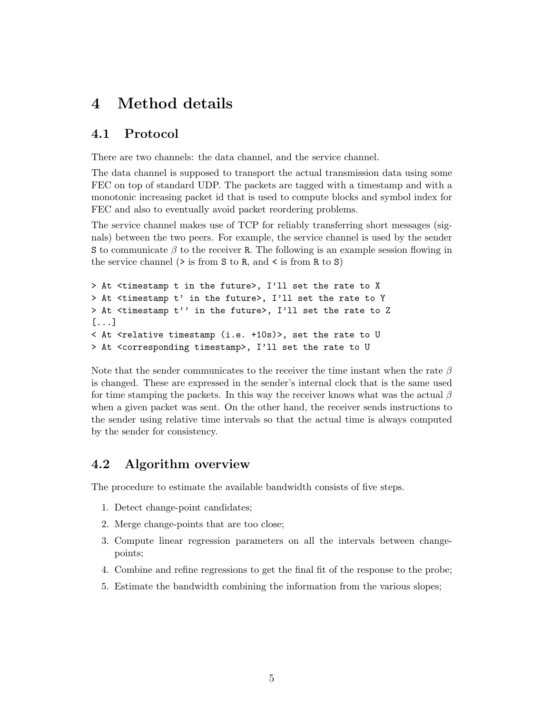## 4 Method details

### 4.1 Protocol

There are two channels: the data channel, and the service channel.

The data channel is supposed to transport the actual transmission data using some FEC on top of standard UDP. The packets are tagged with a timestamp and with a monotonic increasing packet id that is used to compute blocks and symbol index for FEC and also to eventually avoid packet reordering problems.

The service channel makes use of TCP for reliably transferring short messages (signals) between the two peers. For example, the service channel is used by the sender S to communicate  $\beta$  to the receiver R. The following is an example session flowing in the service channel  $($ > is from S to R, and  $\le$  is from R to S)

```
> At <timestamp t in the future>, I'll set the rate to X
> At <timestamp t' in the future>, I'll set the rate to Y
> At <timestamp t'' in the future>, I'll set the rate to Z
[...]
< At <relative timestamp (i.e. +10s)>, set the rate to U
> At <corresponding timestamp>, I'll set the rate to U
```
Note that the sender communicates to the receiver the time instant when the rate  $\beta$ is changed. These are expressed in the sender's internal clock that is the same used for time stamping the packets. In this way the receiver knows what was the actual  $\beta$ when a given packet was sent. On the other hand, the receiver sends instructions to the sender using relative time intervals so that the actual time is always computed by the sender for consistency.

### 4.2 Algorithm overview

The procedure to estimate the available bandwidth consists of five steps.

- 1. Detect change-point candidates;
- 2. Merge change-points that are too close;
- 3. Compute linear regression parameters on all the intervals between changepoints;
- 4. Combine and refine regressions to get the final fit of the response to the probe;
- 5. Estimate the bandwidth combining the information from the various slopes;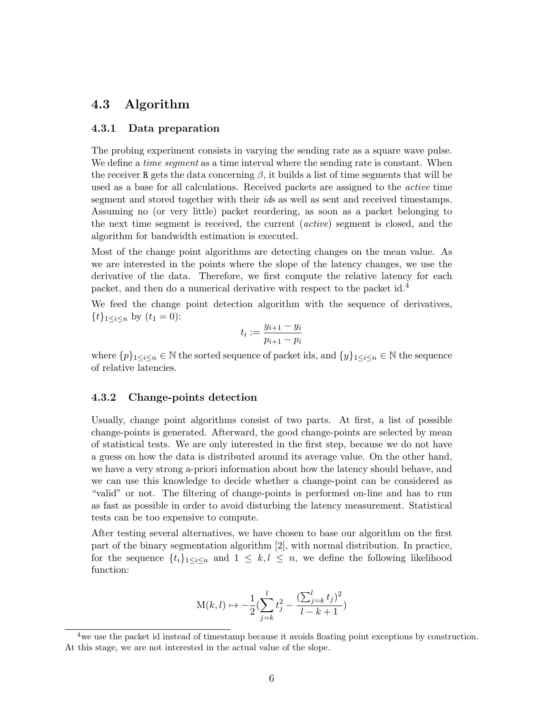### 4.3 Algorithm

#### 4.3.1 Data preparation

The probing experiment consists in varying the sending rate as a square wave pulse. We define a *time segment* as a time interval where the sending rate is constant. When the receiver R gets the data concerning  $\beta$ , it builds a list of time segments that will be used as a base for all calculations. Received packets are assigned to the active time segment and stored together with their ids as well as sent and received timestamps. Assuming no (or very little) packet reordering, as soon as a packet belonging to the next time segment is received, the current (active) segment is closed, and the algorithm for bandwidth estimation is executed.

Most of the change point algorithms are detecting changes on the mean value. As we are interested in the points where the slope of the latency changes, we use the derivative of the data. Therefore, we first compute the relative latency for each packet, and then do a numerical derivative with respect to the packet id.<sup>4</sup>

We feed the change point detection algorithm with the sequence of derivatives,  $\{t\}_{1 \leq i \leq n}$  by  $(t_1 = 0)$ :

$$
t_i := \frac{y_{i+1} - y_i}{p_{i+1} - p_i}
$$

where  $\{p\}_{1\leq i\leq n}\in\mathbb{N}$  the sorted sequence of packet ids, and  $\{y\}_{1\leq i\leq n}\in\mathbb{N}$  the sequence of relative latencies.

#### 4.3.2 Change-points detection

Usually, change point algorithms consist of two parts. At first, a list of possible change-points is generated. Afterward, the good change-points are selected by mean of statistical tests. We are only interested in the first step, because we do not have a guess on how the data is distributed around its average value. On the other hand, we have a very strong a-priori information about how the latency should behave, and we can use this knowledge to decide whether a change-point can be considered as "valid" or not. The filtering of change-points is performed on-line and has to run as fast as possible in order to avoid disturbing the latency measurement. Statistical tests can be too expensive to compute.

After testing several alternatives, we have chosen to base our algorithm on the first part of the binary segmentation algorithm [2], with normal distribution. In practice, for the sequence  $\{t_i\}_{1\leq i\leq n}$  and  $1 \leq k, l \leq n$ , we define the following likelihood function:

$$
M(k, l) \mapsto -\frac{1}{2} \left( \sum_{j=k}^{l} t_j^2 - \frac{(\sum_{j=k}^{l} t_j)^2}{l - k + 1} \right)
$$

<sup>&</sup>lt;sup>4</sup>we use the packet id instead of timestamp because it avoids floating point exceptions by construction. At this stage, we are not interested in the actual value of the slope.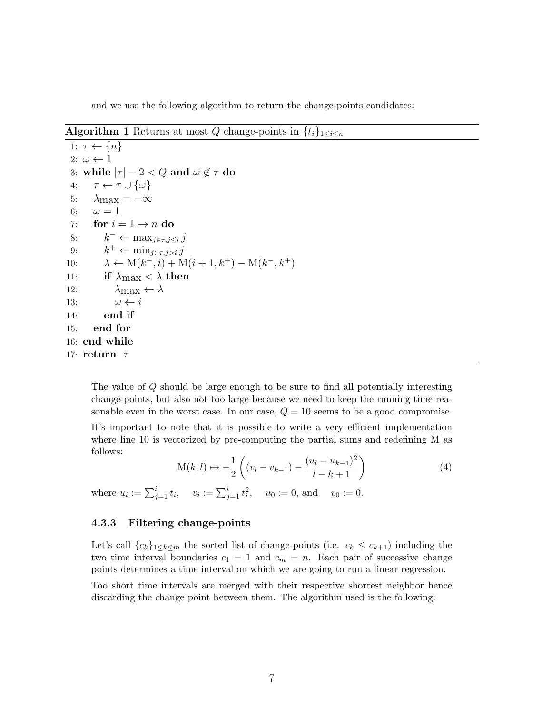and we use the following algorithm to return the change-points candidates:

### Algorithm 1 Returns at most Q change-points in  $\{t_i\}_{1\leq i\leq n}$

```
1: \tau \leftarrow \{n\}2: \omega \leftarrow 13: while |\tau| - 2 < Q and \omega \notin \tau do
 4: \tau \leftarrow \tau \cup {\omega}5: \lambda_{\text{max}} = -\infty6: \omega = 17: for i = 1 \rightarrow n do
 8: k^- \leftarrow \max_{j \in \tau, j \leq i} j9: k^+ \leftarrow \min_{j \in \tau, j > i} j10: \lambda \leftarrow M(k^-, i) + M(i+1, k^+) - M(k^-, k^+)11: if \lambda_{\text{max}} < \lambda then
12: \lambda_{\text{max}} \leftarrow \lambda13: \omega \leftarrow i14: end if
15: end for
16: end while
17: return \tau
```
The value of Q should be large enough to be sure to find all potentially interesting change-points, but also not too large because we need to keep the running time reasonable even in the worst case. In our case,  $Q = 10$  seems to be a good compromise.

It's important to note that it is possible to write a very efficient implementation where line 10 is vectorized by pre-computing the partial sums and redefining M as follows:

$$
M(k,l) \mapsto -\frac{1}{2} \left( (v_l - v_{k-1}) - \frac{(u_l - u_{k-1})^2}{l - k + 1} \right) \tag{4}
$$

where  $u_i := \sum_{j=1}^i t_i$ ,  $v_i := \sum_{j=1}^i t_i^2$ ,  $u_0 := 0$ , and  $v_0 := 0$ .

#### 4.3.3 Filtering change-points

Let's call  ${c_k}_{1\leq k\leq m}$  the sorted list of change-points (i.e.  $c_k \leq c_{k+1}$ ) including the two time interval boundaries  $c_1 = 1$  and  $c_m = n$ . Each pair of successive change points determines a time interval on which we are going to run a linear regression.

Too short time intervals are merged with their respective shortest neighbor hence discarding the change point between them. The algorithm used is the following: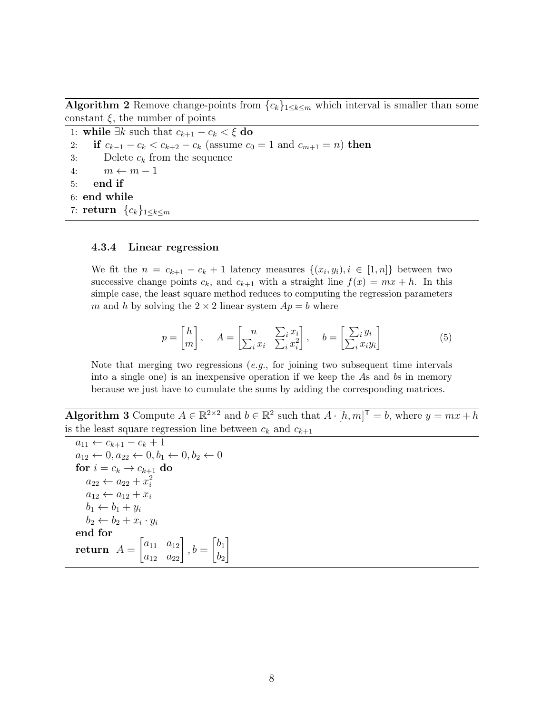Algorithm 2 Remove change-points from  ${c_k}_{1\leq k\leq m}$  which interval is smaller than some constant  $\xi$ , the number of points

1: while  $\exists k$  such that  $c_{k+1} - c_k < \xi$  do 2: if  $c_{k-1} - c_k < c_{k+2} - c_k$  (assume  $c_0 = 1$  and  $c_{m+1} = n$ ) then 3: Delete  $c_k$  from the sequence 4:  $m \leftarrow m - 1$ 5: end if 6: end while 7: return  ${c_k}_{1\leq k\leq m}$ 

#### 4.3.4 Linear regression

We fit the  $n = c_{k+1} - c_k + 1$  latency measures  $\{(x_i, y_i), i \in [1, n]\}$  between two successive change points  $c_k$ , and  $c_{k+1}$  with a straight line  $f(x) = mx + h$ . In this simple case, the least square method reduces to computing the regression parameters m and h by solving the  $2 \times 2$  linear system  $Ap = b$  where

$$
p = \begin{bmatrix} h \\ m \end{bmatrix}, \quad A = \begin{bmatrix} n & \sum_i x_i \\ \sum_i x_i & \sum_i x_i^2 \end{bmatrix}, \quad b = \begin{bmatrix} \sum_i y_i \\ \sum_i x_i y_i \end{bmatrix}
$$
 (5)

Note that merging two regressions (*e.g.*, for joining two subsequent time intervals into a single one) is an inexpensive operation if we keep the As and bs in memory because we just have to cumulate the sums by adding the corresponding matrices.

**Algorithm 3** Compute  $A \in \mathbb{R}^{2 \times 2}$  and  $b \in \mathbb{R}^2$  such that  $A \cdot [h, m]^\mathsf{T} = b$ , where  $y = mx + h$ is the least square regression line between  $c_k$  and  $c_{k+1}$ 

```
a_{11} \leftarrow c_{k+1} - c_k + 1a_{12} \leftarrow 0, a_{22} \leftarrow 0, b_1 \leftarrow 0, b_2 \leftarrow 0for i = c_k \rightarrow c_{k+1} do
     a_{22} \leftarrow a_{22} + x_i^2a_{12} \leftarrow a_{12} + x_ib_1 \leftarrow b_1 + y_ib_2 \leftarrow b_2 + x_i \cdot y_iend for
return A =\begin{bmatrix} a_{11} & a_{12} \\ a_{12} & a_{22} \end{bmatrix}, b =\lceil b_1 \rceilb_21
```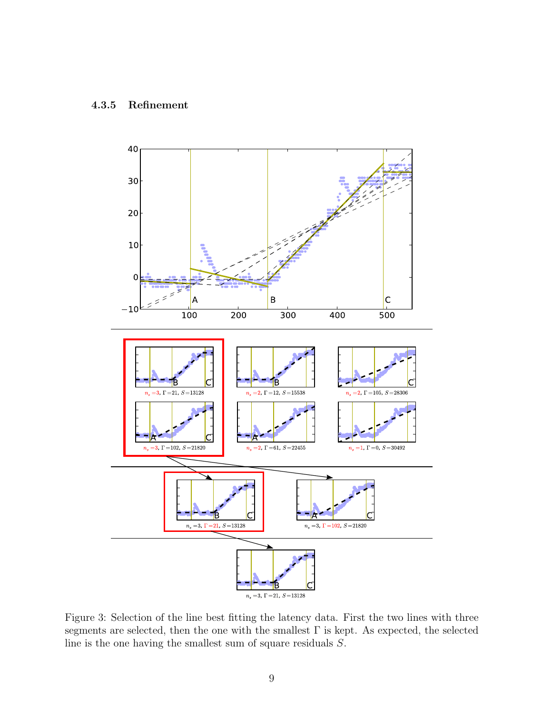

Figure 3: Selection of the line best fitting the latency data. First the two lines with three segments are selected, then the one with the smallest  $\Gamma$  is kept. As expected, the selected line is the one having the smallest sum of square residuals S.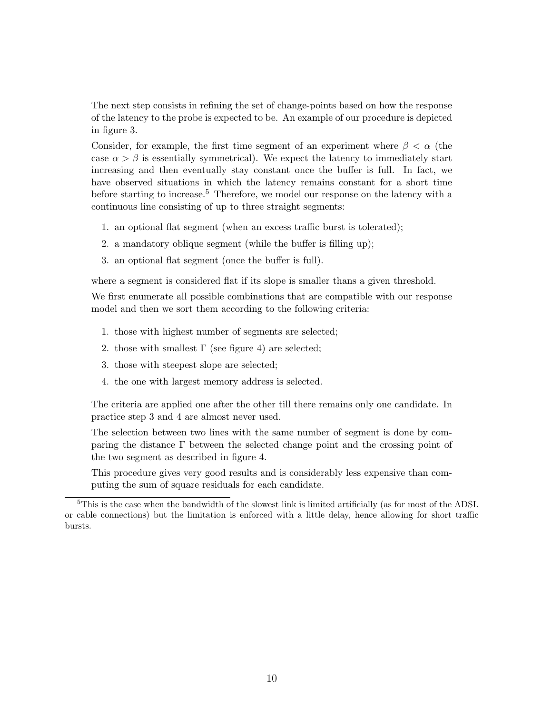The next step consists in refining the set of change-points based on how the response of the latency to the probe is expected to be. An example of our procedure is depicted in figure 3.

Consider, for example, the first time segment of an experiment where  $\beta < \alpha$  (the case  $\alpha > \beta$  is essentially symmetrical). We expect the latency to immediately start increasing and then eventually stay constant once the buffer is full. In fact, we have observed situations in which the latency remains constant for a short time before starting to increase.<sup>5</sup> Therefore, we model our response on the latency with a continuous line consisting of up to three straight segments:

- 1. an optional flat segment (when an excess traffic burst is tolerated);
- 2. a mandatory oblique segment (while the buffer is filling up);
- 3. an optional flat segment (once the buffer is full).

where a segment is considered flat if its slope is smaller thans a given threshold.

We first enumerate all possible combinations that are compatible with our response model and then we sort them according to the following criteria:

- 1. those with highest number of segments are selected;
- 2. those with smallest  $\Gamma$  (see figure 4) are selected;
- 3. those with steepest slope are selected;
- 4. the one with largest memory address is selected.

The criteria are applied one after the other till there remains only one candidate. In practice step 3 and 4 are almost never used.

The selection between two lines with the same number of segment is done by comparing the distance Γ between the selected change point and the crossing point of the two segment as described in figure 4.

This procedure gives very good results and is considerably less expensive than computing the sum of square residuals for each candidate.

<sup>&</sup>lt;sup>5</sup>This is the case when the bandwidth of the slowest link is limited artificially (as for most of the ADSL or cable connections) but the limitation is enforced with a little delay, hence allowing for short traffic bursts.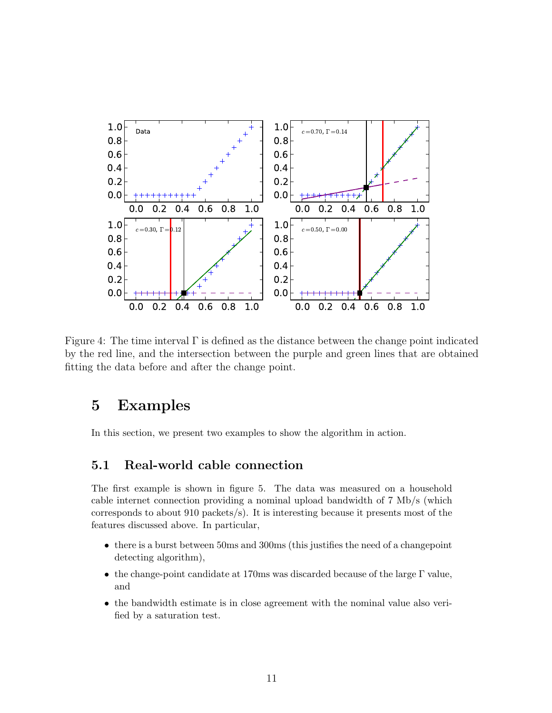

Figure 4: The time interval  $\Gamma$  is defined as the distance between the change point indicated by the red line, and the intersection between the purple and green lines that are obtained fitting the data before and after the change point.

## 5 Examples

In this section, we present two examples to show the algorithm in action.

### 5.1 Real-world cable connection

The first example is shown in figure 5. The data was measured on a household cable internet connection providing a nominal upload bandwidth of 7 Mb/s (which corresponds to about 910 packets/s). It is interesting because it presents most of the features discussed above. In particular,

- there is a burst between 50ms and 300ms (this justifies the need of a changepoint detecting algorithm),
- the change-point candidate at 170ms was discarded because of the large Γ value, and
- the bandwidth estimate is in close agreement with the nominal value also verified by a saturation test.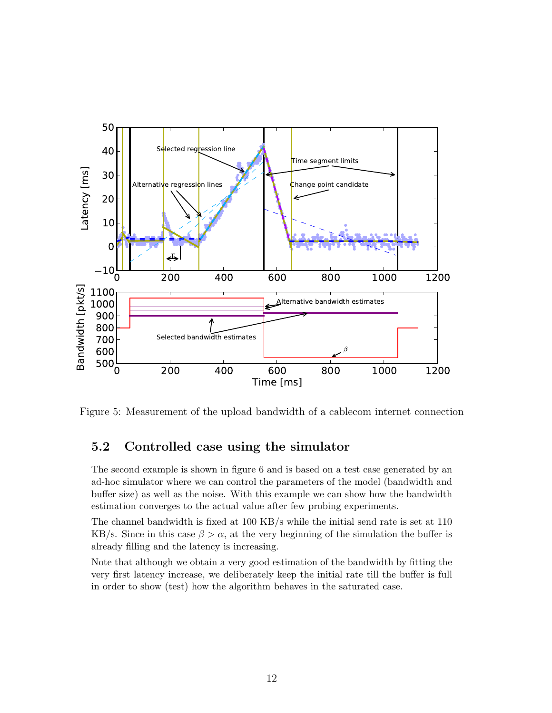

Figure 5: Measurement of the upload bandwidth of a cablecom internet connection

### 5.2 Controlled case using the simulator

The second example is shown in figure 6 and is based on a test case generated by an ad-hoc simulator where we can control the parameters of the model (bandwidth and buffer size) as well as the noise. With this example we can show how the bandwidth estimation converges to the actual value after few probing experiments.

The channel bandwidth is fixed at 100 KB/s while the initial send rate is set at 110 KB/s. Since in this case  $\beta > \alpha$ , at the very beginning of the simulation the buffer is already filling and the latency is increasing.

Note that although we obtain a very good estimation of the bandwidth by fitting the very first latency increase, we deliberately keep the initial rate till the buffer is full in order to show (test) how the algorithm behaves in the saturated case.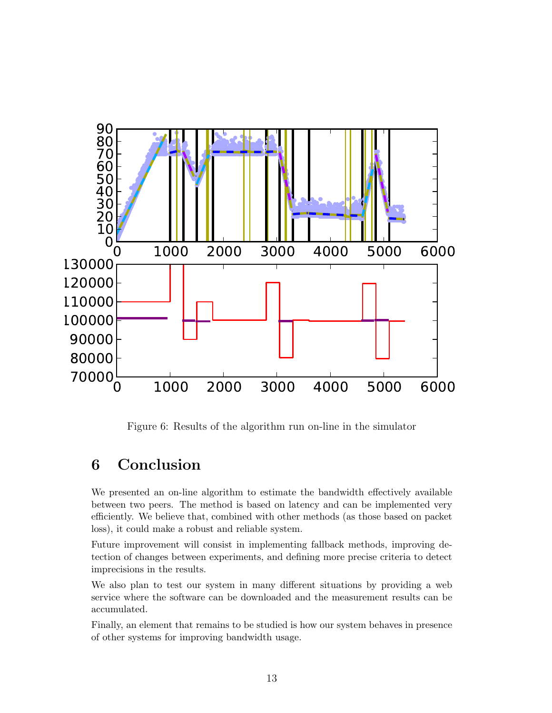

Figure 6: Results of the algorithm run on-line in the simulator

## 6 Conclusion

We presented an on-line algorithm to estimate the bandwidth effectively available between two peers. The method is based on latency and can be implemented very efficiently. We believe that, combined with other methods (as those based on packet loss), it could make a robust and reliable system.

Future improvement will consist in implementing fallback methods, improving detection of changes between experiments, and defining more precise criteria to detect imprecisions in the results.

We also plan to test our system in many different situations by providing a web service where the software can be downloaded and the measurement results can be accumulated.

Finally, an element that remains to be studied is how our system behaves in presence of other systems for improving bandwidth usage.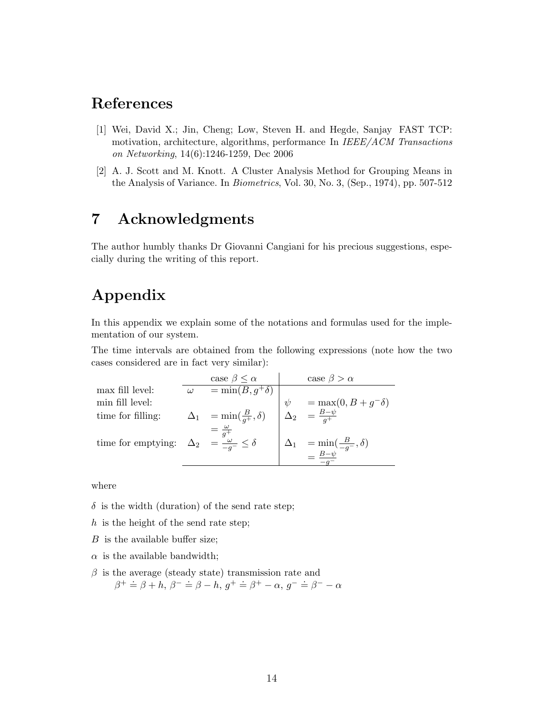## References

- [1] Wei, David X.; Jin, Cheng; Low, Steven H. and Hegde, Sanjay FAST TCP: motivation, architecture, algorithms, performance In *IEEE/ACM Transactions* on Networking, 14(6):1246-1259, Dec 2006
- [2] A. J. Scott and M. Knott. A Cluster Analysis Method for Grouping Means in the Analysis of Variance. In Biometrics, Vol. 30, No. 3, (Sep., 1974), pp. 507-512

## 7 Acknowledgments

The author humbly thanks Dr Giovanni Cangiani for his precious suggestions, especially during the writing of this report.

## Appendix

In this appendix we explain some of the notations and formulas used for the implementation of our system.

The time intervals are obtained from the following expressions (note how the two cases considered are in fact very similar):

|                                                                | case $\beta \leq \alpha$                 | case $\beta > \alpha$                                                                   |
|----------------------------------------------------------------|------------------------------------------|-----------------------------------------------------------------------------------------|
| max fill level:                                                | $=$ min $(B, g^+\delta)$                 |                                                                                         |
| min fill level:                                                |                                          |                                                                                         |
| time for filling:                                              | $\Delta_1 = \min(\frac{B}{a^+}, \delta)$ | $\psi = \max_{B \to \psi} (0, B + g^{-} \delta)$<br>$\Delta_2 = \frac{B - \psi}{g^{+}}$ |
| time for emptying: $\Delta_2 = \frac{\omega}{-a^-} \le \delta$ |                                          | $\Delta_1 = \min_{B \to b} (\frac{B}{-g^-}, \delta)$                                    |

where

 $\delta$  is the width (duration) of the send rate step;

h is the height of the send rate step;

 $B$  is the available buffer size;

 $\alpha$  is the available bandwidth;

 $\beta$  is the average (steady state) transmission rate and  $\beta^+ \doteq \beta + h$ ,  $\beta^- \doteq \beta - h$ ,  $g^+ \doteq \beta^+ - \alpha$ ,  $g^- \doteq \beta^- - \alpha$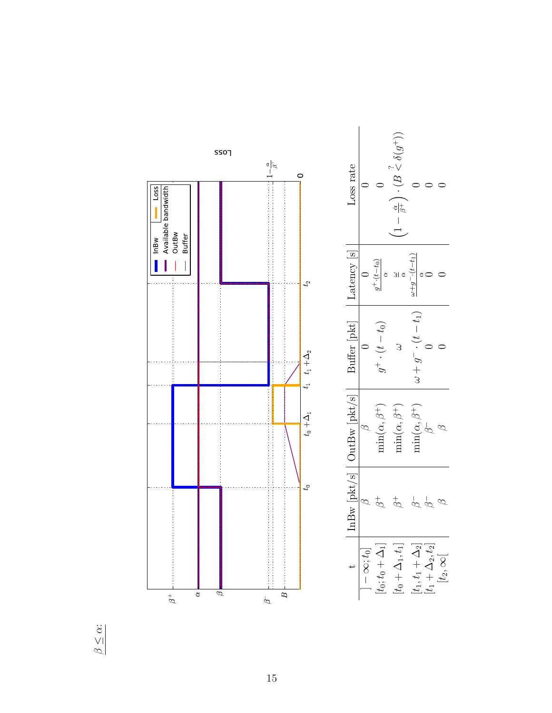

 $\beta \leq \alpha$ :